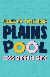

# 2022 SUMMER GUIDE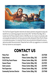

The 71st Force Support Squadron welcomes all valued customers and guests to enjoy and benefit from our swimming programs here at Vance AFB. The Plains Pool, Bldg. 304, is located near the Fitness & Sports Center on McAffrey Ave. Our mission is to provide a safe and enjoyable atmosphere for all Vance personnel while utilizing the Plains Pool for fitness or recreational purposes. It is important that all rules and policies be followed to ensure a safe and accident free environment. Please feel free to offer any suggestions or comments that may improve our pool programs.

### **CONTACT US**

| <b>Plains Pool</b>                 | <b>Bldg. 304</b>                  | 213-7638 |
|------------------------------------|-----------------------------------|----------|
| <b>Daily Passes</b>                | Fitness Center (Bldg. 316)        | 213-7670 |
| 5-10-15 Day Punch Passes           | Fitness Center (Bldg. 316)        | 213-7670 |
| <b>Season Passes</b>               | Fitness Center (Bldg. 316)        | 213-7670 |
| <b>Swim Lessons</b>                | <b>Fitness Center (Bldg. 316)</b> | 213-7670 |
| <b>Pool Supervisor</b>             | Fitness Center (Bldg. 316)        | 213-7830 |
| <b>Community Services Director</b> | Fitness Center (Bldg. 316)        | 213-7948 |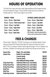### **HOURS OF OPERATION**

 The Plains Pool is open seven days a week, beginning Memorial Day weekend through the second weekend in August. The pool will then remain open only on weekends through Labor Day. \* Swim Lessons begin 6 June at 1000

#### **MONDAY - FRIDAY**

**9 a.m. – 10 a.m. / Open Swim**

**10 a.m. – 11 a.m. / Swim Lessons only \*** 

**11 a.m. – 12 p.m. / Lap Swim**

**12 p.m. – 5 p.m. / Open Swim**

**5 p.m. – 6 p.m. / Lap Swim**

**6 p.m. – 9 p.m. / Open Swim**

#### **SATURDAY, SUNDAY &HOLIDAYS**

**9 a.m. – 11 a.m. / Open Swim** 

**11 a.m. – 12 p.m. / Lap Swim** 

**12 p.m. – 5 p.m. / Open Swim** 

**5 p.m. – 6 p.m. / Lap Swim** 

**6 p.m. – 9 p.m. / Open Swim** 

**NOTE: Saturday / closed to the general public at 7:00 p.m. only if a private pool party is scheduled.** 

### **FEES & CHARGES**

(Fitness Center / Bldg. 316 / 213-7670). No refunds or pro-rated fees allowed. Passes may be purchased at the Fitness Center, Bldg. 316, during normal duty hours with a valid I.D. This is no charge for children 6 year of age and younger. This is no charge for Lap swimming. Sunbathers not wanting to get in the pool must still pay normal entry fee.

| <b>Season Pass</b>      | Single (I.D. card holder)                   | \$35.00 |
|-------------------------|---------------------------------------------|---------|
| <b>Season Pass</b>      | Family (I.D. card holder)                   |         |
|                         | 2 person family                             | \$60.00 |
|                         | 3 person family                             | \$80.00 |
|                         | each additional family member               | \$10.00 |
| 5 Day Punch Pass        | <b>Authorized Patron (I.D. card holder)</b> | \$10.00 |
| 10 Day Punch Pass       | <b>Authorized Patron (I.D. card holder)</b> | \$20.00 |
| 15 Day Punch Pass       | <b>Authorized Patron (I.D. card holder)</b> | \$30.00 |
| <b>Daily Pass</b>       | <b>Authorized Patron (I.D. card holder)</b> | \$3.00  |
| <b>Daily Pass</b>       | <b>Sponsored Guest</b>                      | \$3.00  |
| <b>Swimming Lessons</b> | <b>Authorized Patron (I.D. card holder)</b> | \$45.00 |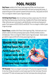### **POOL PASSES**

**Daily Passes:** available at the Fitness Center beginning 28 May when the pool opens. Authorized users must present a valid identification card when purchasing daily passes. A receipt will be given to the customer to present at the pool for entry. Daily passes are \$3.00. This is no charge for children 6 years of age and younger.

**5-10-15 Day Punch Passes:** when not wanting to purchase a season pass, this is the next best thing! Use these any day, all summer long. Available at the Fitness Center beginning 4 May. Authorized users must present a valid identification card when purchasing punch passes. Punch passes are \$10.00, \$20.00, and \$30.00. This is no charge for children 6 years of age and younger.

**Season Passes:** available at the Fitness Center beginning 4 May. Authorized users must present a valid ID card when purchasing season passes. All family members receive a laminated pass. There is no charge for children 6 years of age and younger . Season passes go to \$20 for single and 50% off for family passes beginning 6 July

**SEASON PASS PRICES Individual Season Pass: \$35.00 Family Season Pass: 2 person family \$60.00 3 person family \$80.00 Additional family members \$10.00 each**

**TDY Personnel:** There is no charge for swimming for TDY personnel assigned to the base for less than 30 days who present a current season pass from their home base. Personnel must present TDY orders and season pass from their home base when entering the pool.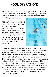# **POOL OPERATIONS**

**Guests:** An authorized pool user is permitted to bring no more than two guests, except in the case of bonafide houseguests. All guests must be accompanied by their sponsor and pay regular pool admission fees. The sponsor must remain with their guests at the pool

complex throughout their guests' stay.

**Kiddie Pool:** The Plains Pool has a kiddie pool for children six years of age and under. There is no charge for children 6 year of age and younger. Children must be accompanied by and under close observation and supervision of an adult at all times while in the area. Please secure the gate upon entering or leaving the wading pool area. Please use caution when entering the pool. The kiddie pool and main pool are closed for general use during swim lessons.



**Lap Swim:** Lap swimming is held daily from 1100-1200 and 1700-1800. Active duty personnel have priority use. There is no charge for lap swimming. Lap swimming is for adults 18 years and over and youth 14-17 years of age who are able to swim and can pass the lifeguard swim test. During lap swim, lifeguards will divide the pool in half (length-wise) by using the lane divider. Half of the pool will be for lap swimmers and the other half, near the slide, will be for open swim. During lap swim, customers cannot use the diving board or slide. Rest time during lap swim sessions for children 13 years of age and younger will be from 1100-1110 and 1700-1710. Lifeguards will announce "rest period-lap swim" at 1100 and 1700, install the divider, and then announce "open swim-lap swim" at 1105 and 1705. At 1200 and 1800, the pool divider will be removed to allow open swim for all. If, at any time, there are more lap swimmers than available lanes, the lifeguards have the OPTION of moving the divider over to free up an additional lap swim lane. They will not however close the pool completely to open swimmers.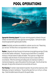### **POOL OPERATIONS**



**Appropriate Swimming Apparel:** Only proper swimming apparel is allowed in the pool. Children not toilet trained must wear approved swimming diapers. Swimsuits for adults should be appropriate for general public facilities.

**Lockers:** Small daily use lockers are available for customer use at no cost. Please bring your own lock. The Plains Pool is not responsible for lost or stolen items.

**Weather:** Lifeguards will clear the pools of all swimmers during lightning warnings (10 miles out) and other weather notifications. The pools may be closed when it is considered necessary in the best interest of safety and welfare. Pool supervisor or lifeguard will immediately notify the Director of Community Services if pool is closed under these circumstances. When the swimming and wading pools are closed due to weather or mechanical emergencies, a sign will be posted at the entrance gate. Once the all clear has been given, the sign will be removed and normal activities will resume.

**Pool Cleaning:** To maintain a high standard of operation, the pool will be closed every other Wednesday morning for maintenance. The pool will be open from 1 p.m. to 9 p.m. on those days. Check the bulletin board at the pool for the specific dates.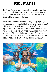### **POOL PARTIES**

**Non-Private:** Patrons may use the metal roofed shade shelter area at the pool for non-private gatherings during normal operating hours and during normal pool attendance (2 hour maximum). Normal pool fees apply. Patrons are required to follow all pool rules and policies.

**Private:** Private pool parties are available Saturday evening's beginning at 7 p.m. Pool parties are normally scheduled for a minimum of 2 hours. A \$100.00 (minimum fee) must be paid in advance to defray the NAF expense of lifeguards. A fee of \$50.00 will be charged for each additional hour. For groups over 50, a fee for 2 hours is \$150.00. A fee of \$50.00 will be charged for each additional hour. Patrons will abide by current pool rules. Reservations and payment must be made 72 hours in advance. Other instructions, reservations, and payments can be made at the Fitness Center, Bldg. 316 / 213-7670.

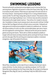# **SWIMMING LESSONS**

Personnel authorized to use base pools are also eligible to enroll in American Red Cross swimming lessons. Registration and payment is made at the Fitness Center, Bldg. 316. Fees for all classes are paid in advance. Please show your paid receipt to the swim instructor on the 1st day of lessons. Swimming lessons will begin at 10 a.m. during scheduled sessions. Lessons are Mon-Thu with Friday's being make-up days for rainouts. Three sessions will be offered this summer beginning Monday, 6 June. A minimum class size will be comprised of three students with an eight student maximum. There will be a 4 to 1 student to instructor ratio. Consolidation of classes may be necessary due to class size and/or skill level. Certified American Red Cross lifeguard instructors will teach various course levels. Kickboards and water games are furnished and are available for students at no additional cost. Swimmers with obvious evidence of a cold or any other communicable disease, open sores or lesions will not be registered for swimming lessons. Kiddie pool and the main pool are closed for general use during swim lessons. Patrons with no children are allowed to sunbathe on loungers while swim lessons are being conducted, patrons cannot get into the pool. Normal pool entry fees apply. When the swimming pool is closed due to weather or mechanical emergencies, a sign will be posted at the entrance.



Refund Policy: Cancellation must be made 24 hours in advance of the first swim class to receive a full refund. No other refunds or pro-rated fees are allowed. An AF Form 1401 Refund Slip must be obtained from the Fitness Center, Bldg. 316, and taken to the Resource Management Office, Bldg 200, Suite 211, and Monday-Friday from 0830-1030 for actual refund.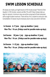### **SWIM LESSON SCHEDULE**

All classes are made up of eight lessons of 45 minutes except "Parent & Child Aquatics" of 30 minutes. Lessons are Mon-Thu with Friday's being make-up days for rainouts. A minimum class size will be comprised of three individuals with an eight student maximum. There will be a 4 to 1 student to instructor ratio. Consolidation of classes may be necessary due to class size and/or skill level.

#### **1st Session 6-17 June (sign-up deadline: 1 June) Mon-Thu / 10 a.m. (Fridays used for possible make-up days)**

- **2nd Session 20 June-1 July (sign-up deadline: 15 June) Mon-Thu / 10 a.m. (Fridays used for possible make-up days)**
- **3rd Session 11-22 July (sign-up deadline: 6 July) Mon-Thu / 10 a.m. (Fridays used for possible make-up days)**

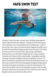### **VAFB SWIM TEST**



All patrons 13 years and under must past a Swim Test before being allowed to enter the deep end of the swimming pool. The deep end of the swimming pool will be marked by a line on the pool bottom and/or a dividing rope. In order to pass the Swim Test, a patron must demonstrate to a lifeguard, the ability to swim the width of the pool without stopping using the front crawl stroke. This includes the correct use of Arms (circular motion), Legs (kicking), and Breathing Technique (face in-out of the water), treading water for 1 minute, and pulling themselves out of the pool without using the ladder. Dog paddling, swimming underwater, and strokes repeatedly starting and stopping will not count. The patron's first attempt on passing the swim test can be conducted at any time. If a patron does not perform the swim test adequately, the lifeguard will give specific instructions to the patron and will allow a re-test at the next rest period. If the patron does not perform the swim test adequately during the re-test, the patron will have to wait until the next rest period to re-test. After the second re-test, the lifeguard may stop any re-test due to safety concerns.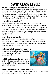# **SWIM CLASS LEVELS**

#### **Parent and Child Aquatics (ages six months to 3 years)**

Developed for children 6 months to 3 years, Parent and Child Aquatics helps young children get ready to swim by emphasizing fun in the water. Parents and children participate in several guided practice sessions that help children learn elementary skills, including water entry, bubble blowing, front kicking, back floating, underwater exploration and more. Parent must be in the water with child.

#### **Preschool Aquatics (ages 4 and 5)**

Children ages 4 and 5 learn water safety, survival skills, and foundational swimming concepts in a safe and fun environment. Skills learned are age-appropriate, allowing students to achieve success on a regular basis. This class is designed to help children become comfortable in the water and learn basic water safety; introduce fundamental skills, such as kicking; focus on coordinating arm and leg movements and improving upon skills learned.

#### **Learn-to-Swim (ages 6 to adult)**

Our Learn-to-Swim program is designed for children over 6 years all the way up to adults. Student's progress through the levels at their own pace, mastering the skills in one level before advancing to the next. Each level of Learn-to-Swim includes training in basic water safety in addition to stroke development.

#### **Level 1: Introduction to Fundamentals of Water Skills**

(helps students feel comfortable in the water and enjoy the water safely. Gives students success with fundamentals skills)

#### **Level 2: Stroke Development; Stroke Improvement**

(builds on skills by providing additional guided practice. Develops confidence in the strokes already learned and to improve other aquatic skills)



#### **Level 3: Stroke Refinement; Swimming and Skill Proficiency**

(provides further coordination and refinement of strokes.Refines the strokes so students swim with ease, efficiency, power, and smoothness over distances)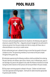

To ensure a safe and enjoyable experience for all patrons, the following rules apply for all persons using the Plains Pool. Lifeguards and pool management are authorized to remove any person from the pool complex who fails to comply with these rules, or otherwise behaves in an unruly or unsafe manner.

**1.** Each authorized pool user is allowed to bring no more than two guests to the pool complex at a time. The sponsoring member(s) must remain at the pool complex throughout their guests' stay.

**2.** Individuals experiencing the following conditions shall be prohibited from entering the pool: diarrhea, skin disease, open sores or lesions, sore or inflamed eyes, nasal, or ear discharge. Any person who appears to be under the influence of alcohol (to include having the smell of alcohol on their person) will not be permitted in the pool complex.

**3.** Only proper swimming apparel is allowed in the pool. Children not toilet trained must wear approved swimming diapers. Swimsuits for adults should be appropriate for general public facilities.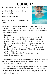- **4.** A shower is required prior to entering the pool.
- **5.** No breath-holding or prolonged underwater swimming contests.
- **6.** No diving into shallow water.

**7.** Parents are responsible for watching their young children



**8.** Under normal circumstances, children 10 years of age and under must have a responsible adult (18 years of age and older) with them in the pool at all times, and children 11 through 13 years of age must have a responsible adult remain with them in the pool complex at all times.

#### **Exceptions:**

- If a child, 10 years of age or younger, is able to swim, they can enter the pool alone but must have a responsible adult in the area and within direct line-of-sight of the child. If a child 11 through 13 years of age is able to swim, they can enter the pool complex and use the pool without being accompanied by a responsible adult. ("Able to swim" is defined as completing the lifeguard swim test.
- If a child 10 & under cannot pass the swim test and the parent does not want to get in the pool with child, the child must wear a life jacket while the child's parent watches from the pool deck.
- The lifeguard will direct a mandatory 10-minute rest period on the hour for all children 13 years of age and younger.

**9.** The wading pool is reserved for children 6 years of age and under. Children will have a responsible adult with them at all times while in the wading pool area. This is no charge for children 6 year of age and younger.

**10.** Only one person is allowed on the diving board at a time, and divers must wait until the pool area around the diving board is cleared before diving. "Suicide" type dives (head first with arms to the diver's side) are not allowed. Diving into the shallow end from the edge of the pool is prohibited.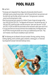#### **11.** Lap Swim

- During lap swim designated times, lifeguards will physically divide the pool in half-length wise by using the lane divider. Half of the pool will be for lap swimmers and the other half, near the slide, will be for open swim. During lap swim, customers cannot use the diving board or slide.
- Rest time during lap swim sessions for children 13 years of age and younger will be from 1100-1110 and 1700-1710. The lifeguards will announce "rest period-lap swim" at 1100 and 1700, install the divider, and then announce "open swim-lap swim" at 1105 and 1705. At 1200 and 1800 the pool divider will be removed to allow open swim for all.
- If, at any time there are more lap swimmers than available lanes, the lifeguards have the OPTION of moving the divider over to free up an additional lap swim lane. They won't however, close the pool completely to open swimmers

**12.** The following are not allowed in the pool complex: Running, pushing, shoving, dunking, fighting, and/or profanity, glass containers, chewing gum, or motorized toys/equipment (except motorized handicap chairs).

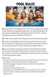

**13.** Eating is allowed only in designated areas. Non-alcoholic beverages are permitted in the pool seating area and wading pool seating areas. Use of alcoholic beverages in the pool complex is prohibited unless specifically approved by the 71 FSS/CC. Smoking and tobacco products are not allowed at the Plains Pool.

**14.** Strollers may be brought to pool seating areas only and cannot be placed poolside.

**15.** "Pool toys" (including flotation aids and swim gear) will not be used on the water slide or diving board. The lifeguard may deny use of these items elsewhere in the pool at any time they feel the item is unsafe or the pool is too crowded for safe use.

**16.** No pets are allowed in the pool area. Exception: American Disabilities Act (ADA) service animals are permitted on the pool deck and in restrooms but not in the pool itself. In addition, Security Forces working dogs accompanied by handlers are permitted in swimming pool areas as required.

**17**. Water Slide

- Slide must be ridden feet first lying on your back with legs firmly crossed at the ankles and arms folded across the chest (to prevent elbows contacting the flume.
- Only dive masks, goggles, or eyeglasses may be worn and must be securely affixed to riders with head straps.
- No pushing, shoving or saving places in line.
- Exit splash down area immediately. Splash down area should not be used for swimming purposes. No jumping or diving into splash down area. No flotation devices allowed in splash down area.